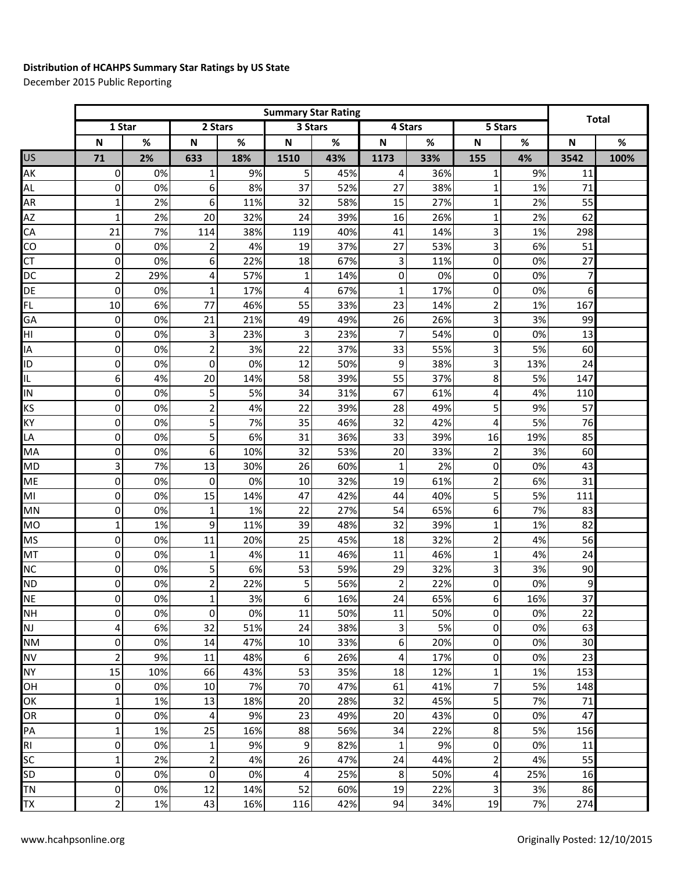## **Distribution of HCAHPS Summary Star Ratings by US State**

December 2015 Public Reporting

|                     | <b>Summary Star Rating</b> |          |                         |           |          |            |                  |            |                  |          |              |      |
|---------------------|----------------------------|----------|-------------------------|-----------|----------|------------|------------------|------------|------------------|----------|--------------|------|
|                     | 1 Star                     |          | 2 Stars                 |           | 3 Stars  |            | 4 Stars          |            | 5 Stars          |          | <b>Total</b> |      |
|                     | N                          | $\%$     | N                       | $\%$      | N        | $\%$       | N                | $\%$       | N                | $\%$     | N            | $\%$ |
| US                  | 71                         | 2%       | 633                     | 18%       | 1510     | 43%        | 1173             | 33%        | 155              | 4%       | 3542         | 100% |
| АK                  | 0                          | 0%       | $1\,$                   | 9%        | 5        | 45%        | $\overline{4}$   | 36%        | $\mathbf{1}$     | 9%       | 11           |      |
| AL                  | 0                          | 0%       | 6                       | 8%        | 37       | 52%        | 27               | 38%        | $\mathbf 1$      | 1%       | 71           |      |
| AR                  | $\mathbf{1}$               | 2%       | 6                       | 11%       | 32       | 58%        | 15               | 27%        | $\mathbf 1$      | 2%       | 55           |      |
| AZ                  | 1                          | 2%       | 20                      | 32%       | 24       | 39%        | 16               | 26%        | $\mathbf 1$      | 2%       | 62           |      |
| CA                  | 21                         | 7%       | 114                     | 38%       | 119      | 40%        | 41               | 14%        | 3                | 1%       | 298          |      |
| CO                  | 0                          | 0%       | $\overline{c}$          | 4%        | 19       | 37%        | 27               | 53%        | 3                | 6%       | 51           |      |
| СT                  | 0                          | 0%       | 6                       | 22%       | 18       | 67%        | 3                | 11%        | $\mathbf 0$      | 0%       | 27           |      |
| DC                  | $\overline{2}$             | 29%      | 4                       | 57%       | 1        | 14%        | $\boldsymbol{0}$ | 0%         | 0                | 0%       | 7            |      |
| DE                  | 0                          | 0%       | $\mathbf 1$             | 17%       | 4        | 67%        | 1                | 17%        | 0                | 0%       | 6            |      |
| FL                  | 10                         | 6%       | 77                      | 46%       | 55       | 33%        | 23               | 14%        | $\overline{2}$   | 1%       | 167          |      |
| GA                  | 0                          | 0%       | 21                      | 21%       | 49       | 49%        | 26               | 26%        | 3                | 3%       | 99           |      |
| HI                  | 0                          | 0%       | 3                       | 23%       | 3        | 23%        | 7                | 54%        | $\boldsymbol{0}$ | 0%       | 13           |      |
| ΙA                  | 0                          | 0%       | $\overline{2}$          | 3%        | 22       | 37%        | 33               | 55%        | 3                | 5%       | 60           |      |
| ID                  | 0                          | 0%       | $\mathbf 0$             | 0%        | 12       | 50%        | 9                | 38%        | 3                | 13%      | 24           |      |
| IL                  | 6                          | 4%       | 20                      | 14%       | 58       | 39%        | 55               | 37%        | 8                | 5%       | 147          |      |
| IN                  | 0                          | 0%       | 5                       | 5%        | 34       | 31%        | 67               | 61%        | 4                | 4%       | 110          |      |
| ΚS                  | 0                          | 0%       | $\overline{2}$          | 4%        | 22       | 39%        | 28               | 49%        | 5                | 9%       | 57           |      |
| ΚY                  | 0                          | 0%       | 5                       | 7%        | 35       | 46%        | 32               | 42%        | 4                | 5%       | 76           |      |
| LA                  | 0                          | 0%       | 5                       | 6%        | 31       | 36%        | 33               | 39%        | 16               | 19%      | 85           |      |
| MA                  | 0                          | 0%       | 6                       | 10%       | 32       | 53%        | 20               | 33%        | $\overline{2}$   | 3%       | 60           |      |
| MD                  | 3                          | 7%       | 13                      | 30%       | 26       | 60%        | $\mathbf 1$      | 2%         | $\pmb{0}$        | 0%       | 43           |      |
| МE                  | 0                          | 0%<br>0% | $\mathbf 0$<br>15       | 0%        | 10       | 32%        | 19               | 61%        | $\overline{c}$   | 6%       | 31<br>111    |      |
| MI                  | 0<br>0                     | 0%       |                         | 14%<br>1% | 47<br>22 | 42%<br>27% | 44<br>54         | 40%<br>65% | 5<br>6           | 5%<br>7% | 83           |      |
| ΜN<br>MO            | 1                          | 1%       | $\mathbf{1}$<br>9       | 11%       | 39       | 48%        | 32               | 39%        | $\mathbf{1}$     | 1%       | 82           |      |
| MS                  | 0                          | 0%       | 11                      | 20%       | 25       | 45%        | 18               | 32%        | $\overline{2}$   | 4%       | 56           |      |
| MT                  | 0                          | 0%       | 1                       | 4%        | 11       | 46%        | 11               | 46%        | $\mathbf{1}$     | 4%       | 24           |      |
| NC                  | 0                          | 0%       | 5                       | 6%        | 53       | 59%        | 29               | 32%        | 3                | 3%       | 90           |      |
| <b>ND</b>           | 0                          | 0%       | $\overline{\mathbf{c}}$ | 22%       | 5        | 56%        | $\overline{2}$   | 22%        | 0                | 0%       | 9            |      |
| $\overline{\sf NE}$ | 0                          | $0\%$    | $\mathbf 1$             | 3%        | 6        | 16%        | 24               | 65%        | 6                | 16%      | 37           |      |
| <b>NH</b>           | 0                          | 0%       | $\mathbf 0$             | 0%        | 11       | 50%        | 11               | 50%        | 0                | 0%       | 22           |      |
| ΝJ                  | 4                          | 6%       | 32                      | 51%       | 24       | 38%        | 3                | 5%         | 0                | 0%       | 63           |      |
| <b>NM</b>           | 0                          | 0%       | 14                      | 47%       | 10       | 33%        | 6                | 20%        | 0                | 0%       | 30           |      |
| NV                  | 2                          | 9%       | 11                      | 48%       | 6        | 26%        | 4                | 17%        | 0                | 0%       | 23           |      |
| <b>NY</b>           | 15                         | 10%      | 66                      | 43%       | 53       | 35%        | 18               | 12%        | $\mathbf 1$      | 1%       | 153          |      |
| OН                  | 0                          | 0%       | 10                      | 7%        | 70       | 47%        | 61               | 41%        | $\overline{7}$   | 5%       | 148          |      |
| ОK                  | $\mathbf{1}$               | 1%       | 13                      | 18%       | 20       | 28%        | 32               | 45%        | 5                | 7%       | 71           |      |
| OR                  | 0                          | 0%       | 4                       | 9%        | 23       | 49%        | 20               | 43%        | 0                | 0%       | 47           |      |
| PA                  | $\mathbf{1}$               | 1%       | 25                      | 16%       | 88       | 56%        | 34               | 22%        | 8                | 5%       | 156          |      |
| RI                  | 0                          | 0%       | 1                       | 9%        | 9        | 82%        | 1                | 9%         | 0                | 0%       | 11           |      |
| SC                  | $\mathbf{1}$               | 2%       | $\overline{\mathbf{c}}$ | 4%        | 26       | 47%        | 24               | 44%        | $\boldsymbol{2}$ | 4%       | 55           |      |
| SD                  | 0                          | 0%       | $\mathbf 0$             | 0%        | 4        | 25%        | 8                | 50%        | 4                | 25%      | 16           |      |
| ΤN                  | 0                          | 0%       | 12                      | 14%       | 52       | 60%        | 19               | 22%        | 3                | 3%       | 86           |      |
| TX                  | $\overline{\mathbf{c}}$    | 1%       | 43                      | 16%       | 116      | 42%        | 94               | 34%        | 19               | 7%       | 274          |      |